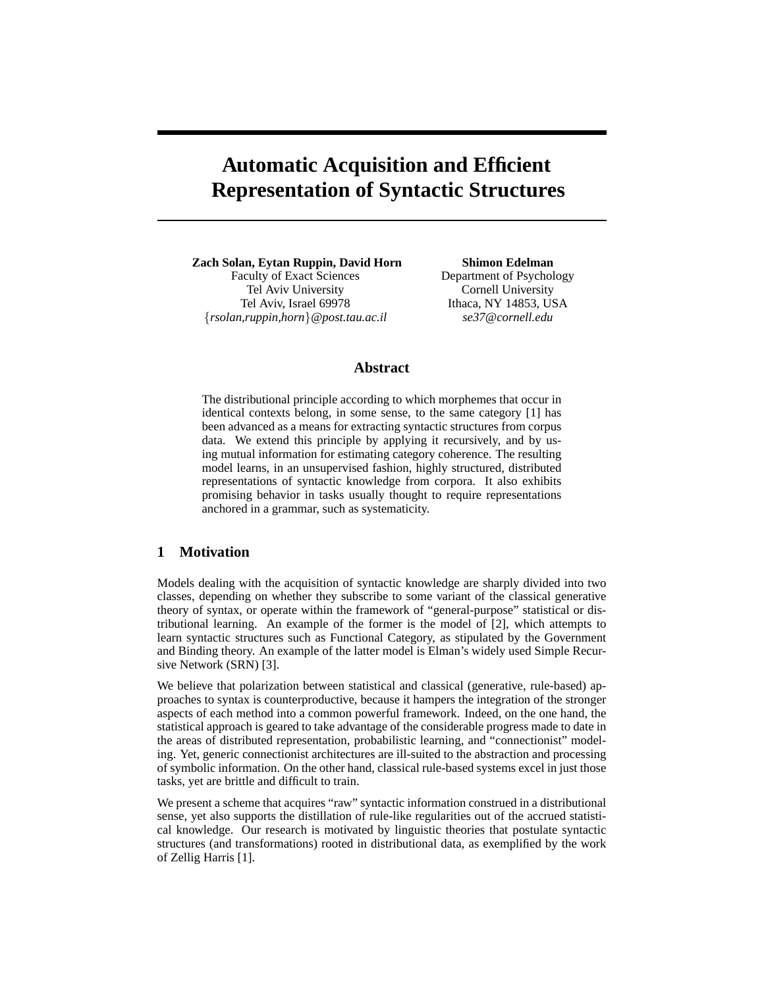# **Automatic Acquisition and Efficient Representation of Syntactic Structures**

**Zach Solan, Eytan Ruppin, David Horn** Faculty of Exact Sciences Tel Aviv University Tel Aviv, Israel 69978 {*rsolan,ruppin,horn*}*@post.tau.ac.il*

**Shimon Edelman** Department of Psychology Cornell University Ithaca, NY 14853, USA *se37@cornell.edu*

# **Abstract**

The distributional principle according to which morphemes that occur in identical contexts belong, in some sense, to the same category [1] has been advanced as a means for extracting syntactic structures from corpus data. We extend this principle by applying it recursively, and by using mutual information for estimating category coherence. The resulting model learns, in an unsupervised fashion, highly structured, distributed representations of syntactic knowledge from corpora. It also exhibits promising behavior in tasks usually thought to require representations anchored in a grammar, such as systematicity.

# **1 Motivation**

Models dealing with the acquisition of syntactic knowledge are sharply divided into two classes, depending on whether they subscribe to some variant of the classical generative theory of syntax, or operate within the framework of "general-purpose" statistical or distributional learning. An example of the former is the model of [2], which attempts to learn syntactic structures such as Functional Category, as stipulated by the Government and Binding theory. An example of the latter model is Elman's widely used Simple Recursive Network (SRN) [3].

We believe that polarization between statistical and classical (generative, rule-based) approaches to syntax is counterproductive, because it hampers the integration of the stronger aspects of each method into a common powerful framework. Indeed, on the one hand, the statistical approach is geared to take advantage of the considerable progress made to date in the areas of distributed representation, probabilistic learning, and "connectionist" modeling. Yet, generic connectionist architectures are ill-suited to the abstraction and processing of symbolic information. On the other hand, classical rule-based systems excel in just those tasks, yet are brittle and difficult to train.

We present a scheme that acquires "raw" syntactic information construed in a distributional sense, yet also supports the distillation of rule-like regularities out of the accrued statistical knowledge. Our research is motivated by linguistic theories that postulate syntactic structures (and transformations) rooted in distributional data, as exemplified by the work of Zellig Harris [1].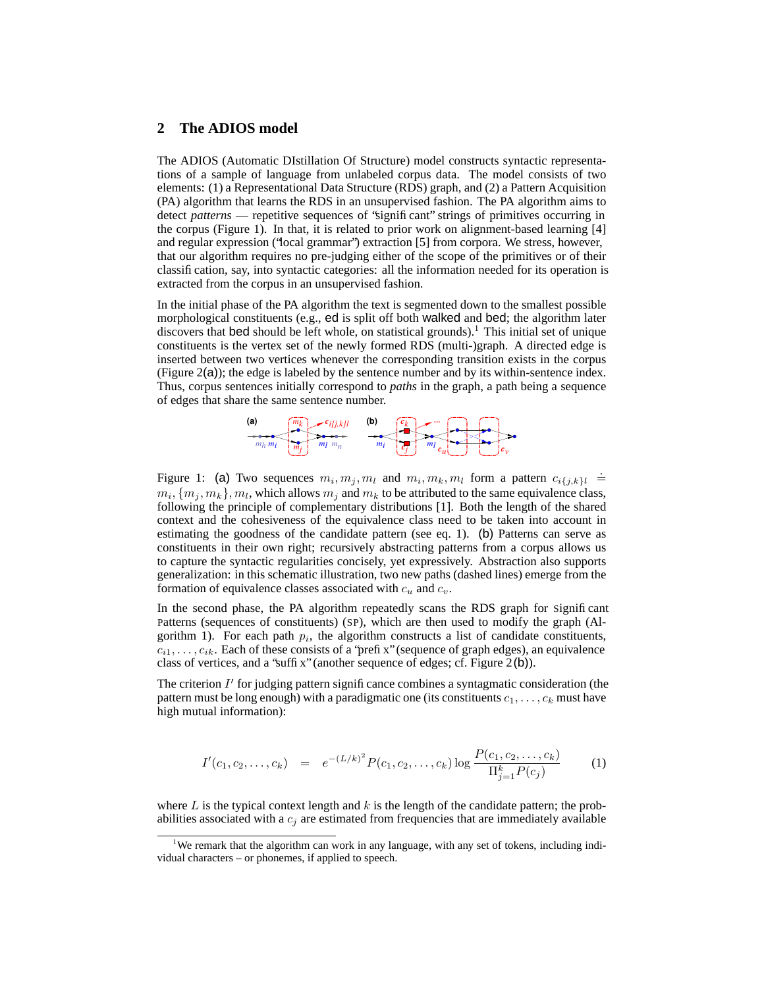### **2 The ADIOS model**

The ADIOS (Automatic DIstillation Of Structure) model constructs syntactic representations of a sample of language from unlabeled corpus data. The model consists of two elements: (1) a Representational Data Structure (RDS) graph, and (2) a Pattern Acquisition (PA) algorithm that learns the RDS in an unsupervised fashion. The PA algorithm aims to detect *patterns* — repetitive sequences of "significant" strings of primitives occurring in the corpus (Figure 1). In that, it is related to prior work on alignment-based learning [4] and regular expression ("local grammar") extraction [5] from corpora. We stress, however, that our algorithm requires no pre-judging either of the scope of the primitives or of their classification, say, into syntactic categories: all the information needed for its operation is extracted from the corpus in an unsupervised fashion.

In the initial phase of the PA algorithm the text is segmented down to the smallest possible morphological constituents (e.g., ed is split off both walked and bed; the algorithm later discovers that bed should be left whole, on statistical grounds).<sup>1</sup> This initial set of unique constituents is the vertex set of the newly formed RDS (multi-)graph. A directed edge is inserted between two vertices whenever the corresponding transition exists in the corpus (Figure 2(a)); the edge is labeled by the sentence number and by its within-sentence index. Thus, corpus sentences initially correspond to *paths* in the graph, a path being a sequence of edges that share the same sentence number.



Figure 1: (a) Two sequences  $m_i, m_j, m_l$  and  $m_i, m_k, m_l$  form a pattern  $c_{i,j,k}$  $_l \doteq$  $m_i$ ,  $\{m_j, m_k\}$ ,  $m_l$ , which allows  $m_j$  and  $m_k$  to be attributed to the same equivalence class, following the principle of complementary distributions [1]. Both the length of the shared context and the cohesiveness of the equivalence class need to be taken into account in estimating the goodness of the candidate pattern (see eq. 1). (b) Patterns can serve as constituents in their own right; recursively abstracting patterns from a corpus allows us to capture the syntactic regularities concisely, yet expressively. Abstraction also supports generalization: in this schematic illustration, two new paths (dashed lines) emerge from the formation of equivalence classes associated with  $c_u$  and  $c_v$ .

In the second phase, the PA algorithm repeatedly scans the RDS graph for Significant Patterns (sequences of constituents) (SP), which are then used to modify the graph (Algorithm 1). For each path  $p_i$ , the algorithm constructs a list of candidate constituents,  $c_{i1}, \ldots, c_{ik}$ . Each of these consists of a 'prefix'' (sequence of graph edges), an equivalence class of vertices, and a "suffix" (another sequence of edges; cf. Figure 2(b)).

The criterion  $I'$  for judging pattern significance combines a syntagmatic consideration (the pattern must be long enough) with a paradigmatic one (its constituents  $c_1, \ldots, c_k$  must have high mutual information):

$$
I'(c_1, c_2, \dots, c_k) = e^{-(L/k)^2} P(c_1, c_2, \dots, c_k) \log \frac{P(c_1, c_2, \dots, c_k)}{\prod_{j=1}^k P(c_j)}
$$
(1)

where L is the typical context length and  $k$  is the length of the candidate pattern; the probabilities associated with a  $c_j$  are estimated from frequencies that are immediately available

<sup>&</sup>lt;sup>1</sup>We remark that the algorithm can work in any language, with any set of tokens, including individual characters – or phonemes, if applied to speech.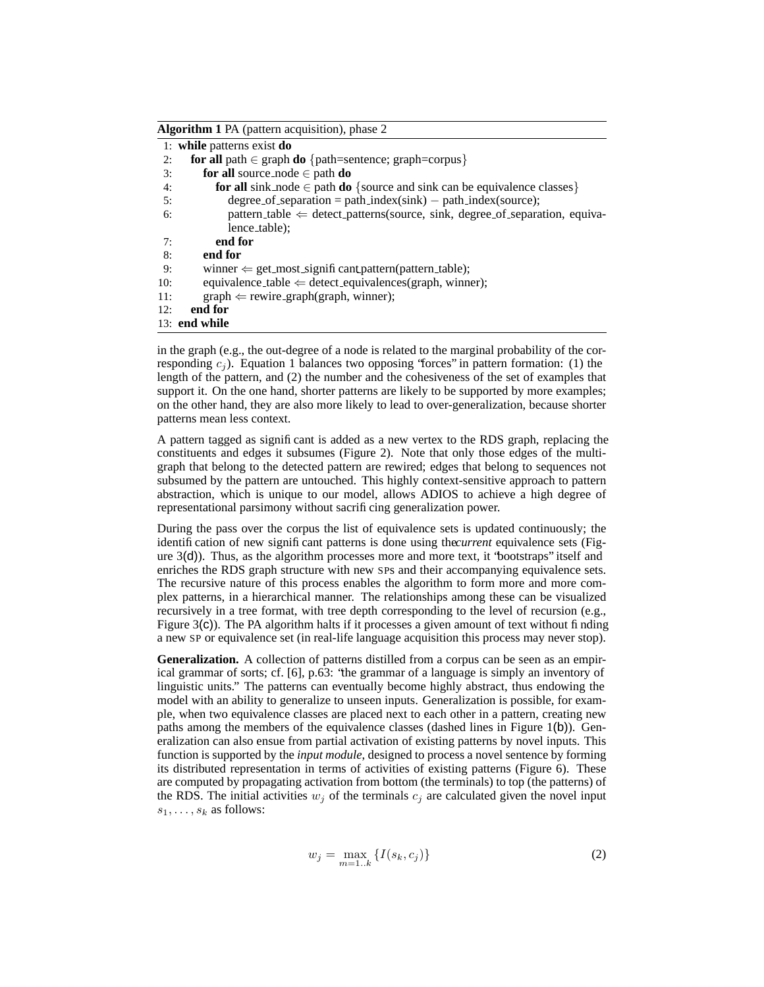**Algorithm 1** PA (pattern acquisition), phase 2

|     | 1: while patterns exist do                                                                 |
|-----|--------------------------------------------------------------------------------------------|
| 2:  | for all path $\in$ graph do {path=sentence; graph=corpus}                                  |
| 3:  | for all source node $\in$ path do                                                          |
| 4:  | for all sink node $\in$ path do {source and sink can be equivalence classes}               |
| 5:  | degree of separation = path_index(sink) - path_index(source);                              |
| 6:  | $pattern\_table \Leftarrow detect\_patterns(source, sink, degree\_of\_separation, equiva-$ |
|     | lence_table);                                                                              |
| 7:  | end for                                                                                    |
| 8:  | end for                                                                                    |
| 9:  | winner $\Leftarrow$ get_most_signifi cant pattern(pattern_table);                          |
| 10: | equivalence table $\Leftarrow$ detect equivalences(graph, winner);                         |
| 11: | $graph \leftarrow rewrite\_graph(graph, winner);$                                          |
| 12: | end for                                                                                    |
|     | $13:$ end while                                                                            |
|     |                                                                                            |

in the graph (e.g., the out-degree of a node is related to the marginal probability of the corresponding  $c_j$ ). Equation 1 balances two opposing "forces" in pattern formation: (1) the length of the pattern, and (2) the number and the cohesiveness of the set of examples that support it. On the one hand, shorter patterns are likely to be supported by more examples; on the other hand, they are also more likely to lead to over-generalization, because shorter patterns mean less context.

A pattern tagged as significant is added as a new vertex to the RDS graph, replacing the constituents and edges it subsumes (Figure 2). Note that only those edges of the multigraph that belong to the detected pattern are rewired; edges that belong to sequences not subsumed by the pattern are untouched. This highly context-sensitive approach to pattern abstraction, which is unique to our model, allows ADIOS to achieve a high degree of representational parsimony without sacrificing generalization power.

During the pass over the corpus the list of equivalence sets is updated continuously; the identification of new significant patterns is done using the*current* equivalence sets (Figure  $3(d)$ ). Thus, as the algorithm processes more and more text, it "bootstraps" itself and enriches the RDS graph structure with new SPs and their accompanying equivalence sets. The recursive nature of this process enables the algorithm to form more and more complex patterns, in a hierarchical manner. The relationships among these can be visualized recursively in a tree format, with tree depth corresponding to the level of recursion (e.g., Figure  $3(c)$ ). The PA algorithm halts if it processes a given amount of text without finding a new SP or equivalence set (in real-life language acquisition this process may never stop).

**Generalization.** A collection of patterns distilled from a corpus can be seen as an empirical grammar of sorts; cf. [6], p.63: "the grammar of a language is simply an inventory of linguistic units." The patterns can eventually become highly abstract, thus endowing the model with an ability to generalize to unseen inputs. Generalization is possible, for example, when two equivalence classes are placed next to each other in a pattern, creating new paths among the members of the equivalence classes (dashed lines in Figure 1(b)). Generalization can also ensue from partial activation of existing patterns by novel inputs. This function is supported by the *input module*, designed to process a novel sentence by forming its distributed representation in terms of activities of existing patterns (Figure 6). These are computed by propagating activation from bottom (the terminals) to top (the patterns) of the RDS. The initial activities  $w_i$  of the terminals  $c_i$  are calculated given the novel input  $s_1, \ldots, s_k$  as follows:

$$
w_j = \max_{m=1..k} \{ I(s_k, c_j) \}
$$
 (2)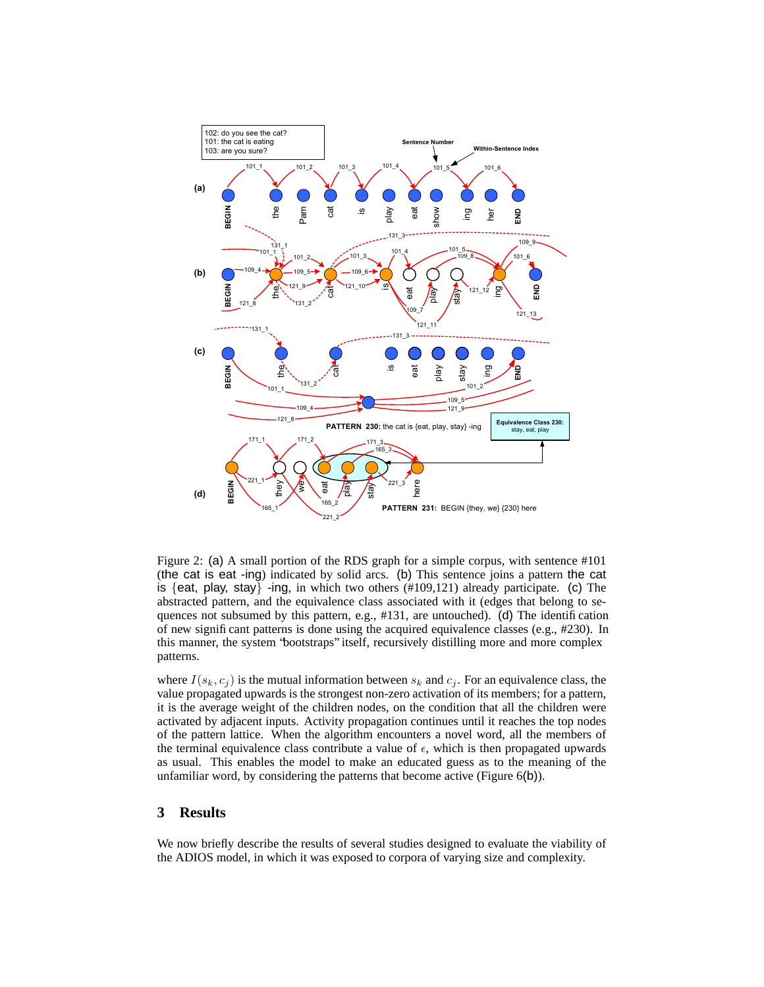

Figure 2: (a) A small portion of the RDS graph for a simple corpus, with sentence #101 (the cat is eat -ing) indicated by solid arcs. (b) This sentence joins a pattern the cat is  $\{$ eat, play, stay $\}$  -ing, in which two others (#109,121) already participate. (c) The abstracted pattern, and the equivalence class associated with it (edges that belong to sequences not subsumed by this pattern, e.g., #131, are untouched). (d) The identification of new significant patterns is done using the acquired equivalence classes (e.g., #230). In this manner, the system "bootstraps" itself, recursively distilling more and more complex patterns.

where  $I(s_k, c_j)$  is the mutual information between  $s_k$  and  $c_j$ . For an equivalence class, the value propagated upwards is the strongest non-zero activation of its members; for a pattern, it is the average weight of the children nodes, on the condition that all the children were activated by adjacent inputs. Activity propagation continues until it reaches the top nodes of the pattern lattice. When the algorithm encounters a novel word, all the members of the terminal equivalence class contribute a value of  $\epsilon$ , which is then propagated upwards as usual. This enables the model to make an educated guess as to the meaning of the unfamiliar word, by considering the patterns that become active (Figure 6(b)).

### **3 Results**

We now briefly describe the results of several studies designed to evaluate the viability of the ADIOS model, in which it was exposed to corpora of varying size and complexity.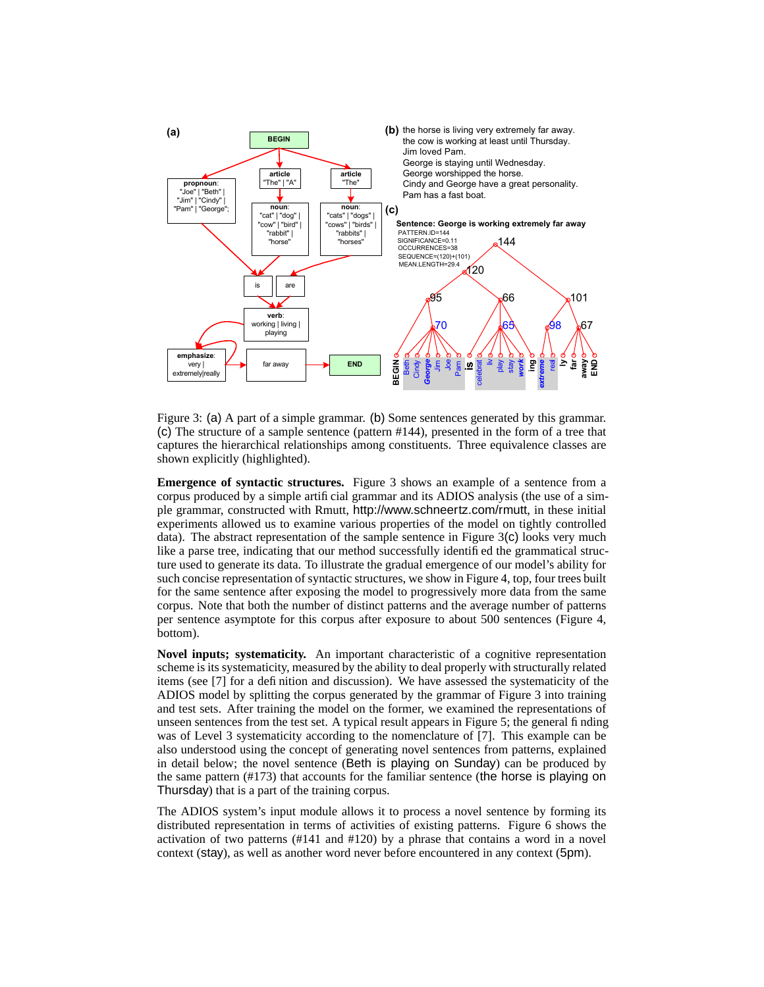

Figure 3: (a) A part of a simple grammar. (b) Some sentences generated by this grammar. (c) The structure of a sample sentence (pattern #144), presented in the form of a tree that captures the hierarchical relationships among constituents. Three equivalence classes are shown explicitly (highlighted).

**Emergence of syntactic structures.** Figure 3 shows an example of a sentence from a corpus produced by a simple artificial grammar and its ADIOS analysis (the use of a simple grammar, constructed with Rmutt, http://www.schneertz.com/rmutt, in these initial experiments allowed us to examine various properties of the model on tightly controlled data). The abstract representation of the sample sentence in Figure  $3(c)$  looks very much like a parse tree, indicating that our method successfully identified the grammatical structure used to generate its data. To illustrate the gradual emergence of our model's ability for such concise representation of syntactic structures, we show in Figure 4, top, four trees built for the same sentence after exposing the model to progressively more data from the same corpus. Note that both the number of distinct patterns and the average number of patterns per sentence asymptote for this corpus after exposure to about 500 sentences (Figure 4, bottom).

**Novel inputs; systematicity.** An important characteristic of a cognitive representation scheme is its systematicity, measured by the ability to deal properly with structurally related items (see [7] for a definition and discussion). We have assessed the systematicity of the ADIOS model by splitting the corpus generated by the grammar of Figure 3 into training and test sets. After training the model on the former, we examined the representations of unseen sentences from the test set. A typical result appears in Figure 5; the general finding was of Level 3 systematicity according to the nomenclature of [7]. This example can be also understood using the concept of generating novel sentences from patterns, explained in detail below; the novel sentence (Beth is playing on Sunday) can be produced by the same pattern (#173) that accounts for the familiar sentence (the horse is playing on Thursday) that is a part of the training corpus.

The ADIOS system's input module allows it to process a novel sentence by forming its distributed representation in terms of activities of existing patterns. Figure 6 shows the activation of two patterns (#141 and #120) by a phrase that contains a word in a novel context (stay), as well as another word never before encountered in any context (5pm).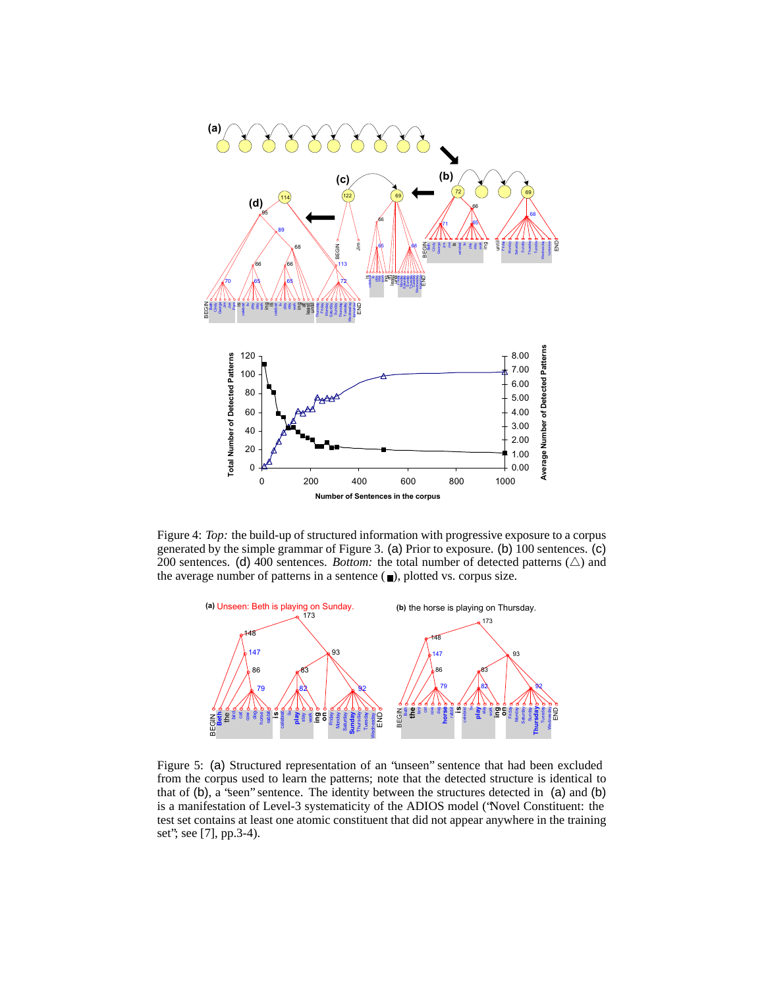

Figure 4: *Top:* the build-up of structured information with progressive exposure to a corpus generated by the simple grammar of Figure 3. (a) Prior to exposure. (b) 100 sentences. (c) 200 sentences. (d) 400 sentences. *Bottom:* the total number of detected patterns  $(\triangle)$  and the average number of patterns in a sentence  $(\blacksquare)$ , plotted vs. corpus size.



Figure 5: (a) Structured representation of an "unseen" sentence that had been excluded from the corpus used to learn the patterns; note that the detected structure is identical to that of (b), a "seen" sentence. The identity between the structures detected in (a) and (b) is a manifestation of Level-3 systematicity of the ADIOS model ("Novel Constituent: the test set contains at least one atomic constituent that did not appear anywhere in the training set"; see [7], pp.3-4).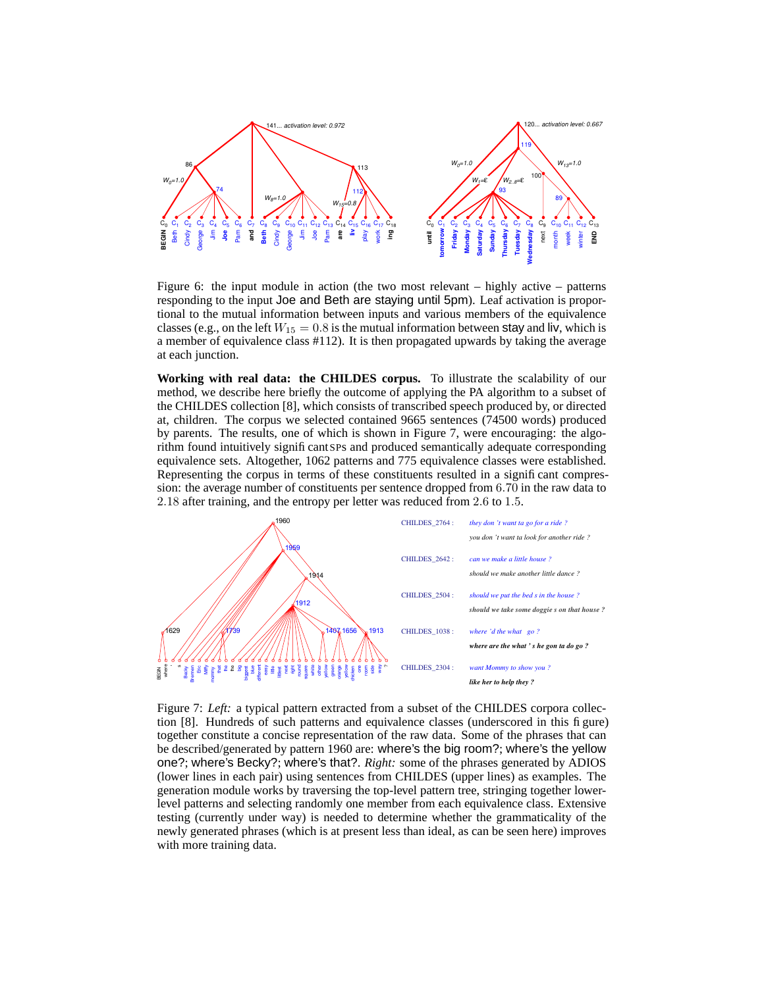

Figure 6: the input module in action (the two most relevant – highly active – patterns responding to the input Joe and Beth are staying until 5pm). Leaf activation is proportional to the mutual information between inputs and various members of the equivalence classes (e.g., on the left  $W_{15} = 0.8$  is the mutual information between stay and liv, which is a member of equivalence class #112). It is then propagated upwards by taking the average at each junction.

**Working with real data: the CHILDES corpus.** To illustrate the scalability of our method, we describe here briefly the outcome of applying the PA algorithm to a subset of the CHILDES collection [8], which consists of transcribed speech produced by, or directed at, children. The corpus we selected contained 9665 sentences (74500 words) produced by parents. The results, one of which is shown in Figure 7, were encouraging: the algorithm found intuitively significantSPs and produced semantically adequate corresponding equivalence sets. Altogether, 1062 patterns and 775 equivalence classes were established. Representing the corpus in terms of these constituents resulted in a significant compression: the average number of constituents per sentence dropped from 6.70 in the raw data to classes (e.g., on the lett  $W_{15} = 0.8$  is the mutual information between stay<br>a member of equivalence class #112). It is then propagated upwards by ta<br>at each junction.<br>**Working with real data: the CHILDES corpus.** To il  $8$  after training, and the entropy per letter



Figure 7: *Left:* a typical pattern extracted from a subset of the CHILDES corpora collection [8]. Hundreds of such patterns and equivalence classes (underscored in this figure) together constitute a concise representation of the raw data. Some of the phrases that can be described/generated by pattern 1960 are: where's the big room?; where's the yellow one?; where's Becky?; where's that?. *Right:* some of the phrases generated by ADIOS (lower lines in each pair) using sentences from CHILDES (upper lines) as examples. The generation module works by traversing the top-level pattern tree, stringing together lowerlevel patterns and selecting randomly one member from each equivalence class. Extensive testing (currently under way) is needed to determine whether the grammaticality of the newly generated phrases (which is at present less than ideal, as can be seen here) improves with more training data.